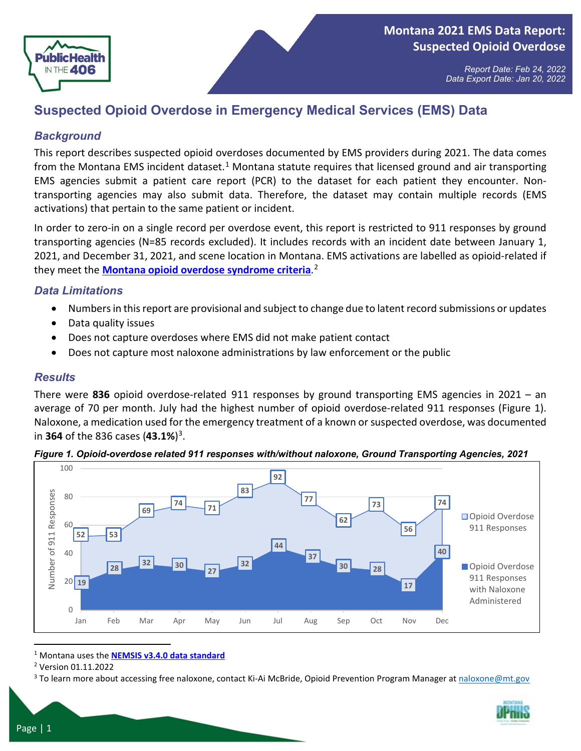

# **Suspected Opioid Overdose in Emergency Medical Services (EMS) Data**

### *Background*

This report describes suspected opioid overdoses documented by EMS providers during 2021. The data comes from the Montana EMS incident dataset.<sup>[1](#page-0-0)</sup> Montana statute requires that licensed ground and air transporting EMS agencies submit a patient care report (PCR) to the dataset for each patient they encounter. Nontransporting agencies may also submit data. Therefore, the dataset may contain multiple records (EMS activations) that pertain to the same patient or incident.

In order to zero-in on a single record per overdose event, this report is restricted to 911 responses by ground transporting agencies (N=85 records excluded). It includes records with an incident date between January 1, 2021, and December 31, 2021, and scene location in Montana. EMS activations are labelled as opioid-related if they meet the **[Montana opioid overdose syndrome criteria](https://dphhs.mt.gov/assets/publichealth/EMSTS/Data/MTOpioidODSyndromeEMS1-11-22.pdf)**. [2](#page-0-1)

#### *Data Limitations*

- Numbers in this report are provisional and subject to change due to latent record submissions or updates
- Data quality issues
- Does not capture overdoses where EMS did not make patient contact
- Does not capture most naloxone administrations by law enforcement or the public

#### *Results*

There were **836** opioid overdose-related 911 responses by ground transporting EMS agencies in 2021 – an average of 70 per month. July had the highest number of opioid overdose-related 911 responses (Figure 1). Naloxone, a medication used for the emergency treatment of a known or suspected overdose, was documented in **364** of the 836 cases (**43.1%**)[3](#page-0-2).





<span id="page-0-0"></span><sup>1</sup> Montana uses the **[NEMSIS v3.4.0 data standard](https://nemsis.org/media/nemsis_v3/release-3.4.0/DataDictionary/PDFHTML/DEMEMS/index.html)**

<span id="page-0-2"></span><sup>3</sup> To learn more about accessing free naloxone, contact Ki-Ai McBride, Opioid Prevention Program Manager at naloxone@mt.gov



<span id="page-0-1"></span><sup>2</sup> Version 01.11.2022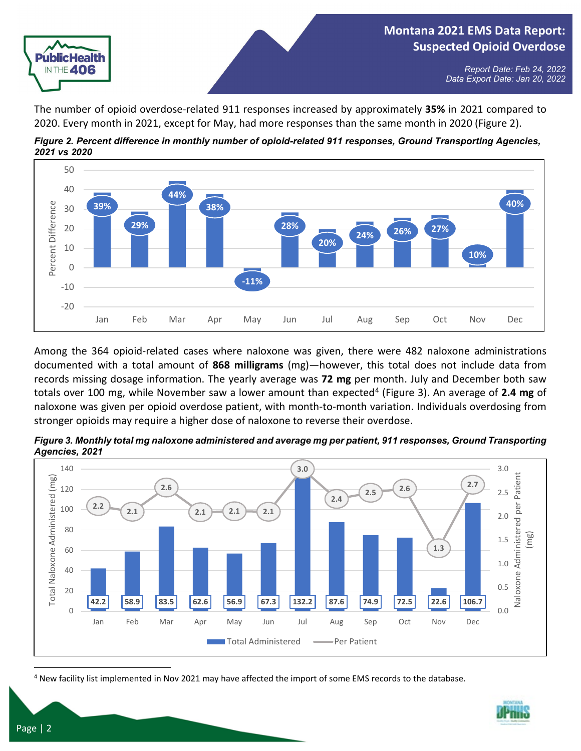

The number of opioid overdose-related 911 responses increased by approximately **35%** in 2021 compared to 2020. Every month in 2021, except for May, had more responses than the same month in 2020 (Figure 2).

*Figure 2. Percent difference in monthly number of opioid-related 911 responses, Ground Transporting Agencies, 2021 vs 2020*



Among the 364 opioid-related cases where naloxone was given, there were 482 naloxone administrations documented with a total amount of **868 milligrams** (mg)—however, this total does not include data from records missing dosage information. The yearly average was **72 mg** per month. July and December both saw totals over 100 mg, while November saw a lower amount than expected[4](#page-1-0) (Figure 3). An average of **2.4 mg** of naloxone was given per opioid overdose patient, with month-to-month variation. Individuals overdosing from stronger opioids may require a higher dose of naloxone to reverse their overdose.



*Figure 3. Monthly total mg naloxone administered and average mg per patient, 911 responses, Ground Transporting Agencies, 2021*

<span id="page-1-0"></span><sup>4</sup> New facility list implemented in Nov 2021 may have affected the import of some EMS records to the database.